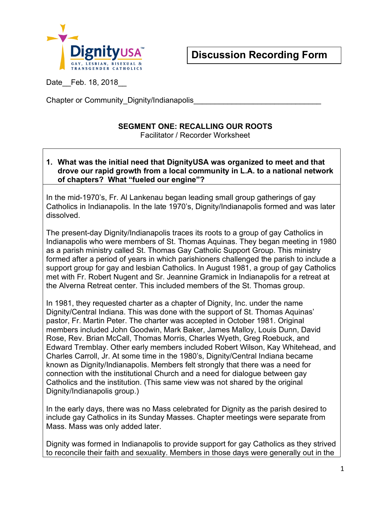

Date Feb. 18, 2018

Chapter or Community Dignity/Indianapolis

## **SEGMENT ONE: RECALLING OUR ROOTS**

Facilitator / Recorder Worksheet

## **1. What was the initial need that DignityUSA was organized to meet and that drove our rapid growth from a local community in L.A. to a national network of chapters? What "fueled our engine"?**

In the mid-1970's, Fr. Al Lankenau began leading small group gatherings of gay Catholics in Indianapolis. In the late 1970's, Dignity/Indianapolis formed and was later dissolved.

The present-day Dignity/Indianapolis traces its roots to a group of gay Catholics in Indianapolis who were members of St. Thomas Aquinas. They began meeting in 1980 as a parish ministry called St. Thomas Gay Catholic Support Group. This ministry formed after a period of years in which parishioners challenged the parish to include a support group for gay and lesbian Catholics. In August 1981, a group of gay Catholics met with Fr. Robert Nugent and Sr. Jeannine Gramick in Indianapolis for a retreat at the Alverna Retreat center. This included members of the St. Thomas group.

In 1981, they requested charter as a chapter of Dignity, Inc. under the name Dignity/Central Indiana. This was done with the support of St. Thomas Aquinas' pastor, Fr. Martin Peter. The charter was accepted in October 1981. Original members included John Goodwin, Mark Baker, James Malloy, Louis Dunn, David Rose, Rev. Brian McCall, Thomas Morris, Charles Wyeth, Greg Roebuck, and Edward Tremblay. Other early members included Robert Wilson, Kay Whitehead, and Charles Carroll, Jr. At some time in the 1980's, Dignity/Central Indiana became known as Dignity/Indianapolis. Members felt strongly that there was a need for connection with the institutional Church and a need for dialogue between gay Catholics and the institution. (This same view was not shared by the original Dignity/Indianapolis group.)

In the early days, there was no Mass celebrated for Dignity as the parish desired to include gay Catholics in its Sunday Masses. Chapter meetings were separate from Mass. Mass was only added later.

Dignity was formed in Indianapolis to provide support for gay Catholics as they strived to reconcile their faith and sexuality. Members in those days were generally out in the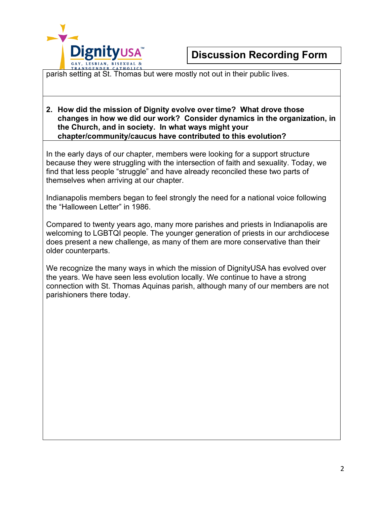

parish setting at St. Thomas but were mostly not out in their public lives.

## **2. How did the mission of Dignity evolve over time? What drove those changes in how we did our work? Consider dynamics in the organization, in the Church, and in society. In what ways might your chapter/community/caucus have contributed to this evolution?**

In the early days of our chapter, members were looking for a support structure because they were struggling with the intersection of faith and sexuality. Today, we find that less people "struggle" and have already reconciled these two parts of themselves when arriving at our chapter.

Indianapolis members began to feel strongly the need for a national voice following the "Halloween Letter" in 1986.

Compared to twenty years ago, many more parishes and priests in Indianapolis are welcoming to LGBTQI people. The younger generation of priests in our archdiocese does present a new challenge, as many of them are more conservative than their older counterparts.

We recognize the many ways in which the mission of DignityUSA has evolved over the years. We have seen less evolution locally. We continue to have a strong connection with St. Thomas Aquinas parish, although many of our members are not parishioners there today.